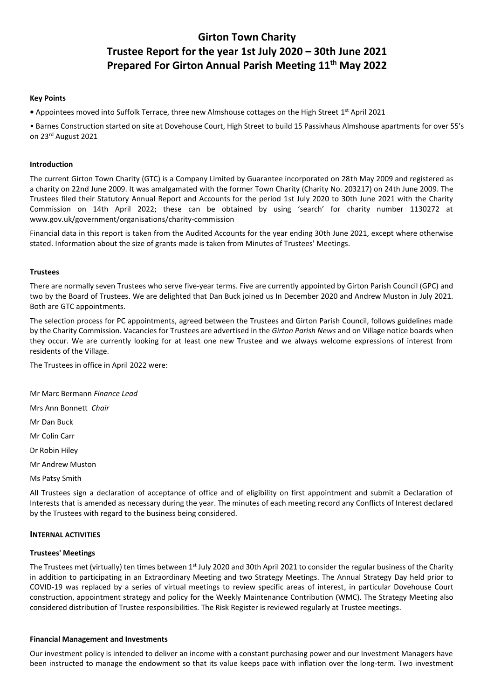# **Girton Town Charity Trustee Report for the year 1st July 2020 – 30th June 2021 Prepared For Girton Annual Parish Meeting 11th May 2022**

# **Key Points**

**•** Appointees moved into Suffolk Terrace, three new Almshouse cottages on the High Street 1<sup>st</sup> April 2021

• Barnes Construction started on site at Dovehouse Court, High Street to build 15 Passivhaus Almshouse apartments for over 55's on 23rd August 2021

# **Introduction**

The current Girton Town Charity (GTC) is a Company Limited by Guarantee incorporated on 28th May 2009 and registered as a charity on 22nd June 2009. It was amalgamated with the former Town Charity (Charity No. 203217) on 24th June 2009. The Trustees filed their Statutory Annual Report and Accounts for the period 1st July 2020 to 30th June 2021 with the Charity Commission on 14th April 2022; these can be obtained by using 'search' for charity number 1130272 at www.gov.uk/government/organisations/charity-commission

Financial data in this report is taken from the Audited Accounts for the year ending 30th June 2021, except where otherwise stated. Information about the size of grants made is taken from Minutes of Trustees' Meetings.

#### **Trustees**

There are normally seven Trustees who serve five-year terms. Five are currently appointed by Girton Parish Council (GPC) and two by the Board of Trustees. We are delighted that Dan Buck joined us In December 2020 and Andrew Muston in July 2021. Both are GTC appointments.

The selection process for PC appointments, agreed between the Trustees and Girton Parish Council, follows guidelines made by the Charity Commission. Vacancies for Trustees are advertised in the *Girton Parish News* and on Village notice boards when they occur. We are currently looking for at least one new Trustee and we always welcome expressions of interest from residents of the Village.

The Trustees in office in April 2022 were:

Mr Marc Bermann *Finance Lead* 

Mrs Ann Bonnett *Chair*

Mr Dan Buck

Mr Colin Carr

Dr Robin Hiley

Mr Andrew Muston

Ms Patsy Smith

All Trustees sign a declaration of acceptance of office and of eligibility on first appointment and submit a Declaration of Interests that is amended as necessary during the year. The minutes of each meeting record any Conflicts of Interest declared by the Trustees with regard to the business being considered.

# **INTERNAL ACTIVITIES**

# **Trustees' Meetings**

The Trustees met (virtually) ten times between 1st July 2020 and 30th April 2021 to consider the regular business of the Charity in addition to participating in an Extraordinary Meeting and two Strategy Meetings. The Annual Strategy Day held prior to COVID-19 was replaced by a series of virtual meetings to review specific areas of interest, in particular Dovehouse Court construction, appointment strategy and policy for the Weekly Maintenance Contribution (WMC). The Strategy Meeting also considered distribution of Trustee responsibilities. The Risk Register is reviewed regularly at Trustee meetings.

#### **Financial Management and Investments**

Our investment policy is intended to deliver an income with a constant purchasing power and our Investment Managers have been instructed to manage the endowment so that its value keeps pace with inflation over the long-term. Two investment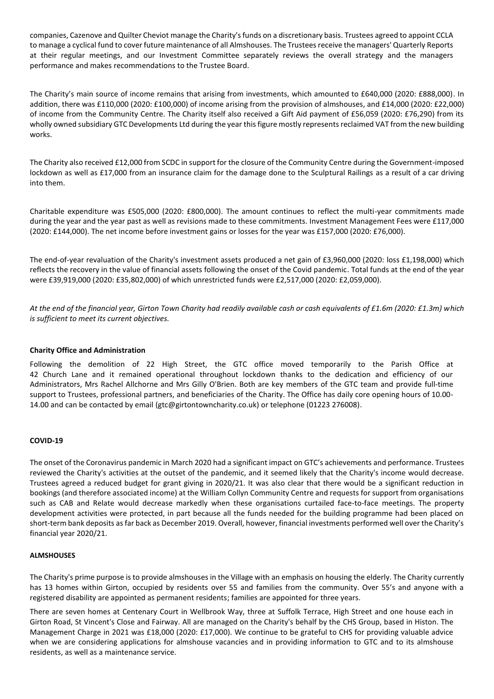companies, Cazenove and Quilter Cheviot manage the Charity's funds on a discretionary basis. Trustees agreed to appoint CCLA to manage a cyclical fund to cover future maintenance of all Almshouses. The Trustees receive the managers' Quarterly Reports at their regular meetings, and our Investment Committee separately reviews the overall strategy and the managers performance and makes recommendations to the Trustee Board.

The Charity's main source of income remains that arising from investments, which amounted to £640,000 (2020: £888,000). In addition, there was £110,000 (2020: £100,000) of income arising from the provision of almshouses, and £14,000 (2020: £22,000) of income from the Community Centre. The Charity itself also received a Gift Aid payment of £56,059 (2020: £76,290) from its wholly owned subsidiary GTC Developments Ltd during the year this figure mostly represents reclaimed VAT from the new building works.

The Charity also received £12,000 from SCDC in support for the closure of the Community Centre during the Government-imposed lockdown as well as £17,000 from an insurance claim for the damage done to the Sculptural Railings as a result of a car driving into them.

Charitable expenditure was £505,000 (2020: £800,000). The amount continues to reflect the multi-year commitments made during the year and the year past as well as revisions made to these commitments. Investment Management Fees were £117,000 (2020: £144,000). The net income before investment gains or losses for the year was £157,000 (2020: £76,000).

The end-of-year revaluation of the Charity's investment assets produced a net gain of £3,960,000 (2020: loss £1,198,000) which reflects the recovery in the value of financial assets following the onset of the Covid pandemic. Total funds at the end of the year were £39,919,000 (2020: £35,802,000) of which unrestricted funds were £2,517,000 (2020: £2,059,000).

*At the end of the financial year, Girton Town Charity had readily available cash or cash equivalents of £1.6m (2020: £1.3m) which is sufficient to meet its current objectives.*

# **Charity Office and Administration**

Following the demolition of 22 High Street, the GTC office moved temporarily to the Parish Office at 42 Church Lane and it remained operational throughout lockdown thanks to the dedication and efficiency of our Administrators, Mrs Rachel Allchorne and Mrs Gilly O'Brien. Both are key members of the GTC team and provide full-time support to Trustees, professional partners, and beneficiaries of the Charity. The Office has daily core opening hours of 10.00- 14.00 and can be contacted by email (gtc@girtontowncharity.co.uk) or telephone (01223 276008).

# **COVID-19**

The onset of the Coronavirus pandemic in March 2020 had a significant impact on GTC's achievements and performance. Trustees reviewed the Charity's activities at the outset of the pandemic, and it seemed likely that the Charity's income would decrease. Trustees agreed a reduced budget for grant giving in 2020/21. It was also clear that there would be a significant reduction in bookings (and therefore associated income) at the William Collyn Community Centre and requests for support from organisations such as CAB and Relate would decrease markedly when these organisations curtailed face-to-face meetings. The property development activities were protected, in part because all the funds needed for the building programme had been placed on short-term bank deposits as far back as December 2019. Overall, however, financial investments performed well over the Charity's financial year 2020/21.

# **ALMSHOUSES**

The Charity's prime purpose is to provide almshouses in the Village with an emphasis on housing the elderly. The Charity currently has 13 homes within Girton, occupied by residents over 55 and families from the community. Over 55's and anyone with a registered disability are appointed as permanent residents; families are appointed for three years.

There are seven homes at Centenary Court in Wellbrook Way, three at Suffolk Terrace, High Street and one house each in Girton Road, St Vincent's Close and Fairway. All are managed on the Charity's behalf by the CHS Group, based in Histon. The Management Charge in 2021 was £18,000 (2020: £17,000). We continue to be grateful to CHS for providing valuable advice when we are considering applications for almshouse vacancies and in providing information to GTC and to its almshouse residents, as well as a maintenance service.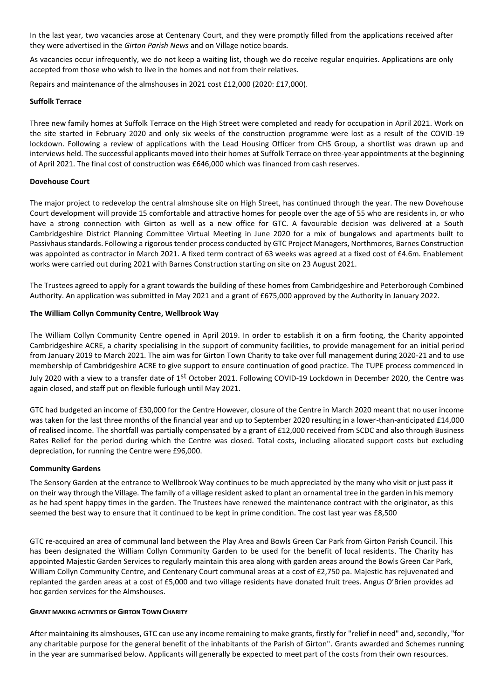In the last year, two vacancies arose at Centenary Court, and they were promptly filled from the applications received after they were advertised in the *Girton Parish News* and on Village notice boards*.*

As vacancies occur infrequently, we do not keep a waiting list, though we do receive regular enquiries. Applications are only accepted from those who wish to live in the homes and not from their relatives.

Repairs and maintenance of the almshouses in 2021 cost £12,000 (2020: £17,000).

# **Suffolk Terrace**

Three new family homes at Suffolk Terrace on the High Street were completed and ready for occupation in April 2021. Work on the site started in February 2020 and only six weeks of the construction programme were lost as a result of the COVID-19 lockdown. Following a review of applications with the Lead Housing Officer from CHS Group, a shortlist was drawn up and interviews held. The successful applicants moved into their homes at Suffolk Terrace on three-year appointments at the beginning of April 2021. The final cost of construction was £646,000 which was financed from cash reserves.

# **Dovehouse Court**

The major project to redevelop the central almshouse site on High Street, has continued through the year. The new Dovehouse Court development will provide 15 comfortable and attractive homes for people over the age of 55 who are residents in, or who have a strong connection with Girton as well as a new office for GTC. A favourable decision was delivered at a South Cambridgeshire District Planning Committee Virtual Meeting in June 2020 for a mix of bungalows and apartments built to Passivhaus standards. Following a rigorous tender process conducted by GTC Project Managers, Northmores, Barnes Construction was appointed as contractor in March 2021. A fixed term contract of 63 weeks was agreed at a fixed cost of £4.6m. Enablement works were carried out during 2021 with Barnes Construction starting on site on 23 August 2021.

The Trustees agreed to apply for a grant towards the building of these homes from Cambridgeshire and Peterborough Combined Authority. An application was submitted in May 2021 and a grant of £675,000 approved by the Authority in January 2022.

# **The William Collyn Community Centre, Wellbrook Way**

The William Collyn Community Centre opened in April 2019. In order to establish it on a firm footing, the Charity appointed Cambridgeshire ACRE, a charity specialising in the support of community facilities, to provide management for an initial period from January 2019 to March 2021. The aim was for Girton Town Charity to take over full management during 2020-21 and to use membership of Cambridgeshire ACRE to give support to ensure continuation of good practice. The TUPE process commenced in July 2020 with a view to a transfer date of 1<sup>st</sup> October 2021. Following COVID-19 Lockdown in December 2020, the Centre was again closed, and staff put on flexible furlough until May 2021.

GTC had budgeted an income of £30,000 for the Centre However, closure of the Centre in March 2020 meant that no user income was taken for the last three months of the financial year and up to September 2020 resulting in a lower-than-anticipated £14,000 of realised income. The shortfall was partially compensated by a grant of £12,000 received from SCDC and also through Business Rates Relief for the period during which the Centre was closed. Total costs, including allocated support costs but excluding depreciation, for running the Centre were £96,000.

# **Community Gardens**

The Sensory Garden at the entrance to Wellbrook Way continues to be much appreciated by the many who visit or just pass it on their way through the Village. The family of a village resident asked to plant an ornamental tree in the garden in his memory as he had spent happy times in the garden. The Trustees have renewed the maintenance contract with the originator, as this seemed the best way to ensure that it continued to be kept in prime condition. The cost last year was £8,500

GTC re-acquired an area of communal land between the Play Area and Bowls Green Car Park from Girton Parish Council. This has been designated the William Collyn Community Garden to be used for the benefit of local residents. The Charity has appointed Majestic Garden Services to regularly maintain this area along with garden areas around the Bowls Green Car Park, William Collyn Community Centre, and Centenary Court communal areas at a cost of £2,750 pa. Majestic has rejuvenated and replanted the garden areas at a cost of £5,000 and two village residents have donated fruit trees. Angus O'Brien provides ad hoc garden services for the Almshouses.

# **GRANT MAKING ACTIVITIES OF GIRTON TOWN CHARITY**

After maintaining its almshouses, GTC can use any income remaining to make grants, firstly for "relief in need" and, secondly, "for any charitable purpose for the general benefit of the inhabitants of the Parish of Girton". Grants awarded and Schemes running in the year are summarised below. Applicants will generally be expected to meet part of the costs from their own resources.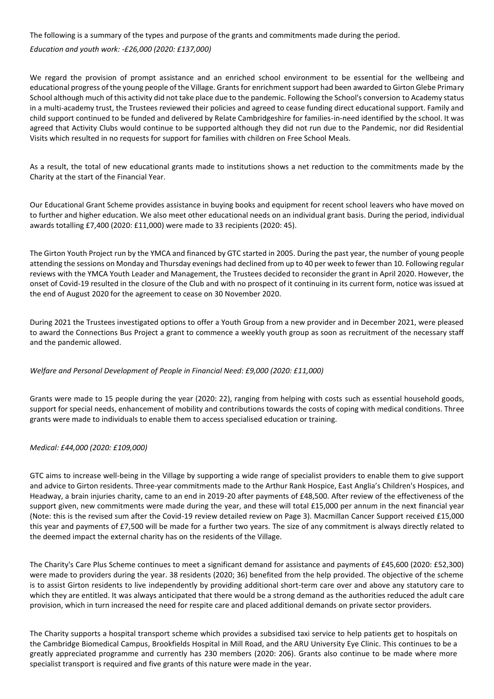The following is a summary of the types and purpose of the grants and commitments made during the period.

*Education and youth work: -£26,000 (2020: £137,000)*

We regard the provision of prompt assistance and an enriched school environment to be essential for the wellbeing and educational progress of the young people of the Village. Grants for enrichment support had been awarded to Girton Glebe Primary School although much of this activity did not take place due to the pandemic. Following the School's conversion to Academy status in a multi-academy trust, the Trustees reviewed their policies and agreed to cease funding direct educational support. Family and child support continued to be funded and delivered by Relate Cambridgeshire for families-in-need identified by the school. It was agreed that Activity Clubs would continue to be supported although they did not run due to the Pandemic, nor did Residential Visits which resulted in no requests for support for families with children on Free School Meals.

As a result, the total of new educational grants made to institutions shows a net reduction to the commitments made by the Charity at the start of the Financial Year.

Our Educational Grant Scheme provides assistance in buying books and equipment for recent school leavers who have moved on to further and higher education. We also meet other educational needs on an individual grant basis. During the period, individual awards totalling £7,400 (2020: £11,000) were made to 33 recipients (2020: 45).

The Girton Youth Project run by the YMCA and financed by GTC started in 2005. During the past year, the number of young people attending the sessions on Monday and Thursday evenings had declined from up to 40 per week to fewer than 10. Following regular reviews with the YMCA Youth Leader and Management, the Trustees decided to reconsider the grant in April 2020. However, the onset of Covid-19 resulted in the closure of the Club and with no prospect of it continuing in its current form, notice was issued at the end of August 2020 for the agreement to cease on 30 November 2020.

During 2021 the Trustees investigated options to offer a Youth Group from a new provider and in December 2021, were pleased to award the Connections Bus Project a grant to commence a weekly youth group as soon as recruitment of the necessary staff and the pandemic allowed.

# *Welfare and Personal Development of People in Financial Need: £9,000 (2020: £11,000)*

Grants were made to 15 people during the year (2020: 22), ranging from helping with costs such as essential household goods, support for special needs, enhancement of mobility and contributions towards the costs of coping with medical conditions. Three grants were made to individuals to enable them to access specialised education or training.

*Medical: £44,000 (2020: £109,000)* 

GTC aims to increase well-being in the Village by supporting a wide range of specialist providers to enable them to give support and advice to Girton residents. Three-year commitments made to the Arthur Rank Hospice, East Anglia's Children's Hospices, and Headway, a brain injuries charity, came to an end in 2019-20 after payments of £48,500. After review of the effectiveness of the support given, new commitments were made during the year, and these will total £15,000 per annum in the next financial year (Note: this is the revised sum after the Covid-19 review detailed review on Page 3). Macmillan Cancer Support received £15,000 this year and payments of £7,500 will be made for a further two years. The size of any commitment is always directly related to the deemed impact the external charity has on the residents of the Village.

The Charity's Care Plus Scheme continues to meet a significant demand for assistance and payments of £45,600 (2020: £52,300) were made to providers during the year. 38 residents (2020; 36) benefited from the help provided. The objective of the scheme is to assist Girton residents to live independently by providing additional short-term care over and above any statutory care to which they are entitled. It was always anticipated that there would be a strong demand as the authorities reduced the adult care provision, which in turn increased the need for respite care and placed additional demands on private sector providers.

The Charity supports a hospital transport scheme which provides a subsidised taxi service to help patients get to hospitals on the Cambridge Biomedical Campus, Brookfields Hospital in Mill Road, and the ARU University Eye Clinic. This continues to be a greatly appreciated programme and currently has 230 members (2020: 206). Grants also continue to be made where more specialist transport is required and five grants of this nature were made in the year.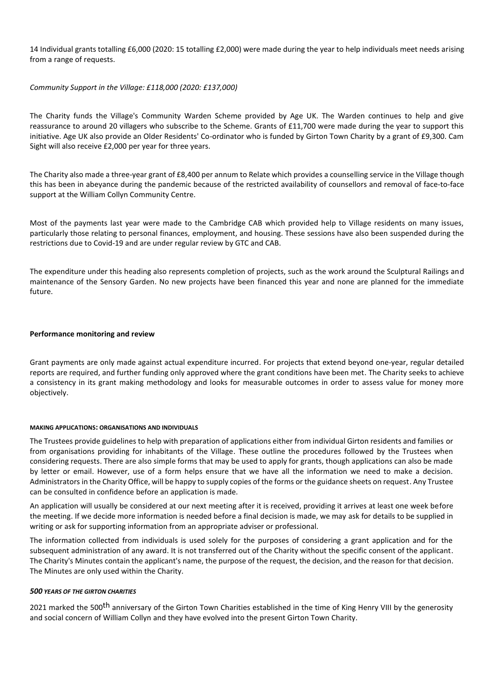14 Individual grants totalling £6,000 (2020: 15 totalling £2,000) were made during the year to help individuals meet needs arising from a range of requests.

*Community Support in the Village: £118,000 (2020: £137,000)*

The Charity funds the Village's Community Warden Scheme provided by Age UK. The Warden continues to help and give reassurance to around 20 villagers who subscribe to the Scheme. Grants of £11,700 were made during the year to support this initiative. Age UK also provide an Older Residents' Co-ordinator who is funded by Girton Town Charity by a grant of £9,300. Cam Sight will also receive £2,000 per year for three years.

The Charity also made a three-year grant of £8,400 per annum to Relate which provides a counselling service in the Village though this has been in abeyance during the pandemic because of the restricted availability of counsellors and removal of face-to-face support at the William Collyn Community Centre.

Most of the payments last year were made to the Cambridge CAB which provided help to Village residents on many issues, particularly those relating to personal finances, employment, and housing. These sessions have also been suspended during the restrictions due to Covid-19 and are under regular review by GTC and CAB.

The expenditure under this heading also represents completion of projects, such as the work around the Sculptural Railings and maintenance of the Sensory Garden. No new projects have been financed this year and none are planned for the immediate future.

# **Performance monitoring and review**

Grant payments are only made against actual expenditure incurred. For projects that extend beyond one-year, regular detailed reports are required, and further funding only approved where the grant conditions have been met. The Charity seeks to achieve a consistency in its grant making methodology and looks for measurable outcomes in order to assess value for money more objectively.

# **MAKING APPLICATIONS: ORGANISATIONS AND INDIVIDUALS**

The Trustees provide guidelines to help with preparation of applications either from individual Girton residents and families or from organisations providing for inhabitants of the Village. These outline the procedures followed by the Trustees when considering requests. There are also simple forms that may be used to apply for grants, though applications can also be made by letter or email. However, use of a form helps ensure that we have all the information we need to make a decision. Administrators in the Charity Office, will be happy to supply copies of the forms or the guidance sheets on request. Any Trustee can be consulted in confidence before an application is made.

An application will usually be considered at our next meeting after it is received, providing it arrives at least one week before the meeting. If we decide more information is needed before a final decision is made, we may ask for details to be supplied in writing or ask for supporting information from an appropriate adviser or professional.

The information collected from individuals is used solely for the purposes of considering a grant application and for the subsequent administration of any award. It is not transferred out of the Charity without the specific consent of the applicant. The Charity's Minutes contain the applicant's name, the purpose of the request, the decision, and the reason for that decision. The Minutes are only used within the Charity.

# *500 YEARS OF THE GIRTON CHARITIES*

2021 marked the 500<sup>th</sup> anniversary of the Girton Town Charities established in the time of King Henry VIII by the generosity and social concern of William Collyn and they have evolved into the present Girton Town Charity.